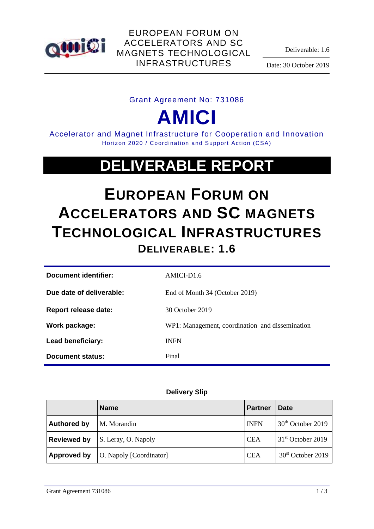

Deliverable: 1.6

Date: 30 October 2019

### Grant Agreement No: 731086

**AMICI**

Accelerator and Magnet Infrastructure for Cooperation and Innovation Horizon 2020 / Coordination and Support Action (CSA)

## **DELIVERABLE REPORT**

# **EUROPEAN FORUM ON ACCELERATORS AND SC MAGNETS TECHNOLOGICAL INFRASTRUCTURES DELIVERABLE: 1.6**

| Document identifier:     | AMICI-D1.6                                      |
|--------------------------|-------------------------------------------------|
| Due date of deliverable: | End of Month 34 (October 2019)                  |
| Report release date:     | 30 October 2019                                 |
| Work package:            | WP1: Management, coordination and dissemination |
| Lead beneficiary:        | <b>INFN</b>                                     |
| Document status:         | Final                                           |

#### **Delivery Slip**

|                    | <b>Name</b>             | <b>Partner</b> | Date                          |
|--------------------|-------------------------|----------------|-------------------------------|
| <b>Authored by</b> | M. Morandin             | <b>INFN</b>    | $30th$ October 2019           |
| <b>Reviewed by</b> | S. Leray, O. Napoly     | <b>CEA</b>     | 31 <sup>st</sup> October 2019 |
| Approved by        | O. Napoly [Coordinator] | <b>CEA</b>     | 30 <sup>st</sup> October 2019 |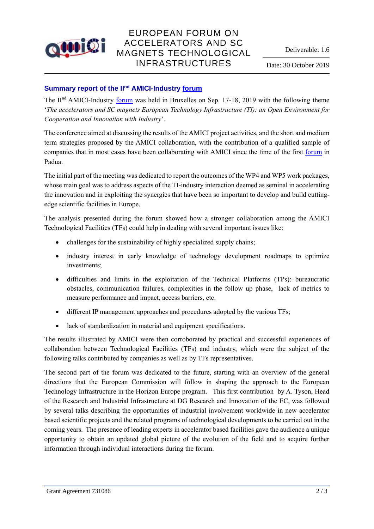

## EUROPEAN FORUM ON ACCELERATORS AND SC MAGNETS TECHNOLOGICAL INFRASTRUCTURES

#### **Summary report of the IInd AMICI-Industry [forum](https://agenda.infn.it/event/18996/)**

The II<sup>nd</sup> AMICI-Industry [forum](https://agenda.infn.it/event/18996/) was held in Bruxelles on Sep. 17-18, 2019 with the following theme '*The accelerators and SC magnets European Technology Infrastructure (TI): an Open Environment for Cooperation and Innovation with Industry*'.

The conference aimed at discussing the results of the AMICI project activities, and the short and medium term strategies proposed by the AMICI collaboration, with the contribution of a qualified sample of companies that in most cases have been collaborating with AMICI since the time of the first [forum](https://agenda.infn.it/event/13033/) in Padua.

The initial part of the meeting was dedicated to report the outcomes of the WP4 and WP5 work packages, whose main goal was to address aspects of the TI-industry interaction deemed as seminal in accelerating the innovation and in exploiting the synergies that have been so important to develop and build cuttingedge scientific facilities in Europe.

The analysis presented during the forum showed how a stronger collaboration among the AMICI Technological Facilities (TFs) could help in dealing with several important issues like:

- challenges for the sustainability of highly specialized supply chains;
- industry interest in early knowledge of technology development roadmaps to optimize investments;
- difficulties and limits in the exploitation of the Technical Platforms (TPs): bureaucratic obstacles, communication failures, complexities in the follow up phase, lack of metrics to measure performance and impact, access barriers, etc.
- different IP management approaches and procedures adopted by the various TFs;
- lack of standardization in material and equipment specifications.

The results illustrated by AMICI were then corroborated by practical and successful experiences of collaboration between Technological Facilities (TFs) and industry, which were the subject of the following talks contributed by companies as well as by TFs representatives.

The second part of the forum was dedicated to the future, starting with an overview of the general directions that the European Commission will follow in shaping the approach to the European Technology Infrastructure in the Horizon Europe program. This first contribution by A. Tyson, Head of the Research and Industrial Infrastructure at DG Research and Innovation of the EC, was followed by several talks describing the opportunities of industrial involvement worldwide in new accelerator based scientific projects and the related programs of technological developments to be carried out in the coming years. The presence of leading experts in accelerator based facilities gave the audience a unique opportunity to obtain an updated global picture of the evolution of the field and to acquire further information through individual interactions during the forum.